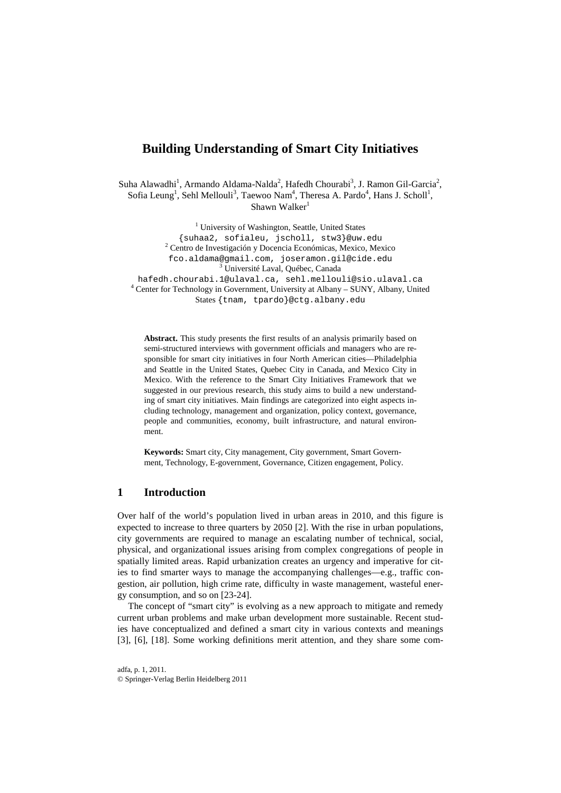# **Building Understanding of Smart City Initiatives**

Suha Alawadhi<sup>1</sup>, Armando Aldama-Nalda<sup>2</sup>, Hafedh Chourabi<sup>3</sup>, J. Ramon Gil-Garcia<sup>2</sup>, Sofia Leung<sup>1</sup>, Sehl Mellouli<sup>3</sup>, Taewoo Nam<sup>4</sup>, Theresa A. Pardo<sup>4</sup>, Hans J. Scholl<sup>1</sup>, Shawn Walker $1$ 

> <sup>1</sup> University of Washington, Seattle, United States {suhaa2, sofialeu, jscholl, stw3}@uw.edu <sup>2</sup> Centro de Investigación y Docencia Económicas, Mexico, Mexico [fco.aldama@gmail.com,](mailto:fco.aldama@gmail.com) joseramon.gil@cide.edu <sup>3</sup> Université Laval, Québec, Canada

[hafedh.chourabi.1@ulaval.ca,](mailto:hafedh.chourabi.1@ulaval.ca) sehl.mellouli@sio.ulaval.ca <sup>4</sup> Center for Technology in Government, University at Albany – SUNY, Albany, United States {tnam, tpardo}@ctg.albany.edu

**Abstract.** This study presents the first results of an analysis primarily based on semi-structured interviews with government officials and managers who are responsible for smart city initiatives in four North American cities—Philadelphia and Seattle in the United States, Quebec City in Canada, and Mexico City in Mexico. With the reference to the Smart City Initiatives Framework that we suggested in our previous research, this study aims to build a new understanding of smart city initiatives. Main findings are categorized into eight aspects including technology, management and organization, policy context, governance, people and communities, economy, built infrastructure, and natural environment.

**Keywords:** Smart city, City management, City government, Smart Government, Technology, E-government, Governance, Citizen engagement, Policy.

## **1 Introduction**

Over half of the world's population lived in urban areas in 2010, and this figure is expected to increase to three quarters by 2050 [2]. With the rise in urban populations, city governments are required to manage an escalating number of technical, social, physical, and organizational issues arising from complex congregations of people in spatially limited areas. Rapid urbanization creates an urgency and imperative for cities to find smarter ways to manage the accompanying challenges—e.g., traffic congestion, air pollution, high crime rate, difficulty in waste management, wasteful energy consumption, and so on [23-24].

The concept of "smart city" is evolving as a new approach to mitigate and remedy current urban problems and make urban development more sustainable. Recent studies have conceptualized and defined a smart city in various contexts and meanings [3], [6], [18]. Some working definitions merit attention, and they share some com-

adfa, p. 1, 2011. © Springer-Verlag Berlin Heidelberg 2011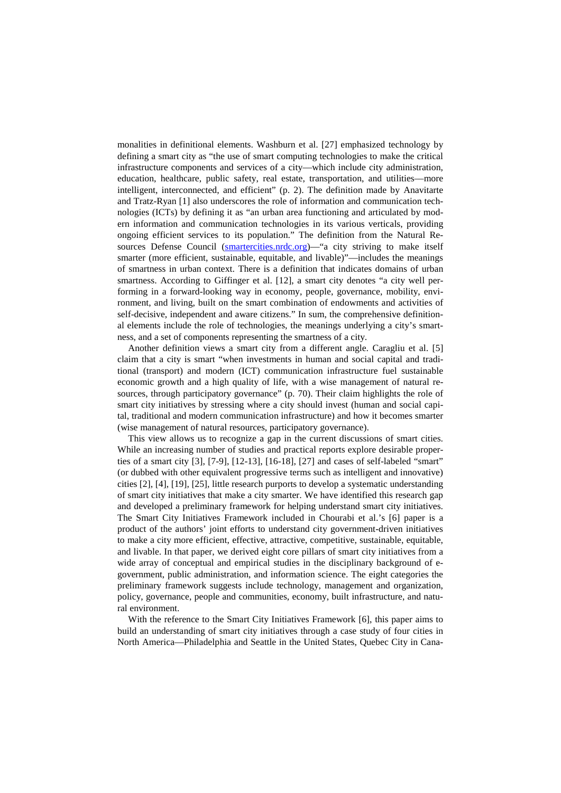monalities in definitional elements. Washburn et al. [27] emphasized technology by defining a smart city as "the use of smart computing technologies to make the critical infrastructure components and services of a city––which include city administration, education, healthcare, public safety, real estate, transportation, and utilities––more intelligent, interconnected, and efficient" (p. 2). The definition made by Anavitarte and Tratz-Ryan [1] also underscores the role of information and communication technologies (ICTs) by defining it as "an urban area functioning and articulated by modern information and communication technologies in its various verticals, providing ongoing efficient services to its population." The definition from the Natural Resources Defense Council (smartercities.nrdc.org)—"a city striving to make itself smarter (more efficient, sustainable, equitable, and livable)"—includes the meanings of smartness in urban context. There is a definition that indicates domains of urban smartness. According to Giffinger et al. [12], a smart city denotes "a city well performing in a forward-looking way in economy, people, governance, mobility, environment, and living, built on the smart combination of endowments and activities of self-decisive, independent and aware citizens." In sum, the comprehensive definitional elements include the role of technologies, the meanings underlying a city's smartness, and a set of components representing the smartness of a city.

Another definition views a smart city from a different angle. Caragliu et al. [5] claim that a city is smart "when investments in human and social capital and traditional (transport) and modern (ICT) communication infrastructure fuel sustainable economic growth and a high quality of life, with a wise management of natural resources, through participatory governance" (p. 70). Their claim highlights the role of smart city initiatives by stressing where a city should invest (human and social capital, traditional and modern communication infrastructure) and how it becomes smarter (wise management of natural resources, participatory governance).

This view allows us to recognize a gap in the current discussions of smart cities. While an increasing number of studies and practical reports explore desirable properties of a smart city [3], [7-9], [12-13], [16-18], [27] and cases of self-labeled "smart" (or dubbed with other equivalent progressive terms such as intelligent and innovative) cities [2], [4], [19], [25], little research purports to develop a systematic understanding of smart city initiatives that make a city smarter. We have identified this research gap and developed a preliminary framework for helping understand smart city initiatives. The Smart City Initiatives Framework included in Chourabi et al.'s [6] paper is a product of the authors' joint efforts to understand city government-driven initiatives to make a city more efficient, effective, attractive, competitive, sustainable, equitable, and livable. In that paper, we derived eight core pillars of smart city initiatives from a wide array of conceptual and empirical studies in the disciplinary background of egovernment, public administration, and information science. The eight categories the preliminary framework suggests include technology, management and organization, policy, governance, people and communities, economy, built infrastructure, and natural environment.

With the reference to the Smart City Initiatives Framework [6], this paper aims to build an understanding of smart city initiatives through a case study of four cities in North America—Philadelphia and Seattle in the United States, Quebec City in Cana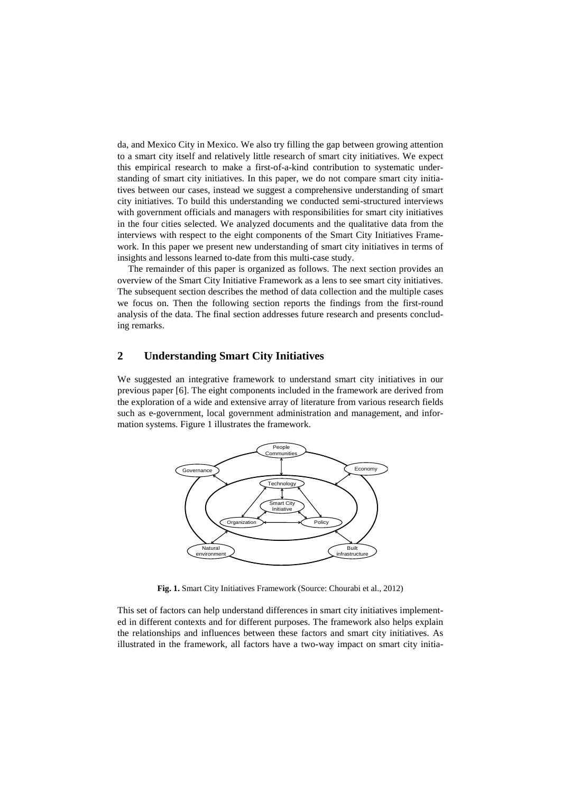da, and Mexico City in Mexico. We also try filling the gap between growing attention to a smart city itself and relatively little research of smart city initiatives. We expect this empirical research to make a first-of-a-kind contribution to systematic understanding of smart city initiatives. In this paper, we do not compare smart city initiatives between our cases, instead we suggest a comprehensive understanding of smart city initiatives. To build this understanding we conducted semi-structured interviews with government officials and managers with responsibilities for smart city initiatives in the four cities selected. We analyzed documents and the qualitative data from the interviews with respect to the eight components of the Smart City Initiatives Framework. In this paper we present new understanding of smart city initiatives in terms of insights and lessons learned to-date from this multi-case study.

The remainder of this paper is organized as follows. The next section provides an overview of the Smart City Initiative Framework as a lens to see smart city initiatives. The subsequent section describes the method of data collection and the multiple cases we focus on. Then the following section reports the findings from the first-round analysis of the data. The final section addresses future research and presents concluding remarks.

## **2 Understanding Smart City Initiatives**

We suggested an integrative framework to understand smart city initiatives in our previous paper [6]. The eight components included in the framework are derived from the exploration of a wide and extensive array of literature from various research fields such as e-government, local government administration and management, and information systems. Figure 1 illustrates the framework.



**Fig. 1.** Smart City Initiatives Framework (Source: Chourabi et al., 2012)

This set of factors can help understand differences in smart city initiatives implemented in different contexts and for different purposes. The framework also helps explain the relationships and influences between these factors and smart city initiatives. As illustrated in the framework, all factors have a two-way impact on smart city initia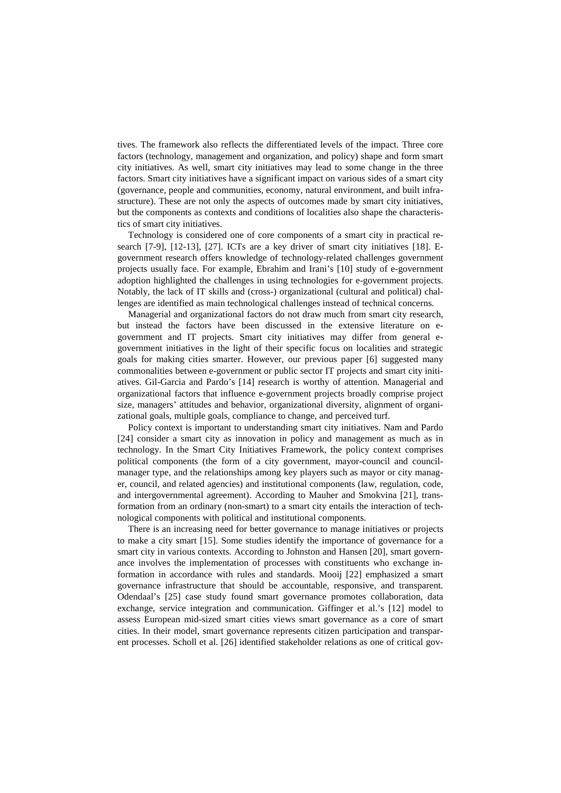tives. The framework also reflects the differentiated levels of the impact. Three core factors (technology, management and organization, and policy) shape and form smart city initiatives. As well, smart city initiatives may lead to some change in the three factors. Smart city initiatives have a significant impact on various sides of a smart city (governance, people and communities, economy, natural environment, and built infrastructure). These are not only the aspects of outcomes made by smart city initiatives, but the components as contexts and conditions of localities also shape the characteristics of smart city initiatives.

Technology is considered one of core components of a smart city in practical research [7-9], [12-13], [27]. ICTs are a key driver of smart city initiatives [18]. Egovernment research offers knowledge of technology-related challenges government projects usually face. For example, Ebrahim and Irani's [10] study of e-government adoption highlighted the challenges in using technologies for e-government projects. Notably, the lack of IT skills and (cross-) organizational (cultural and political) challenges are identified as main technological challenges instead of technical concerns.

Managerial and organizational factors do not draw much from smart city research, but instead the factors have been discussed in the extensive literature on egovernment and IT projects. Smart city initiatives may differ from general egovernment initiatives in the light of their specific focus on localities and strategic goals for making cities smarter. However, our previous paper [6] suggested many commonalities between e-government or public sector IT projects and smart city initiatives. Gil-Garcia and Pardo's [14] research is worthy of attention. Managerial and organizational factors that influence e-government projects broadly comprise project size, managers' attitudes and behavior, organizational diversity, alignment of organizational goals, multiple goals, compliance to change, and perceived turf.

Policy context is important to understanding smart city initiatives. Nam and Pardo [24] consider a smart city as innovation in policy and management as much as in technology. In the Smart City Initiatives Framework, the policy context comprises political components (the form of a city government, mayor-council and councilmanager type, and the relationships among key players such as mayor or city manager, council, and related agencies) and institutional components (law, regulation, code, and intergovernmental agreement). According to Mauher and Smokvina [21], transformation from an ordinary (non-smart) to a smart city entails the interaction of technological components with political and institutional components.

There is an increasing need for better governance to manage initiatives or projects to make a city smart [15]. Some studies identify the importance of governance for a smart city in various contexts. According to Johnston and Hansen [20], smart governance involves the implementation of processes with constituents who exchange information in accordance with rules and standards. Mooij [22] emphasized a smart governance infrastructure that should be accountable, responsive, and transparent. Odendaal's [25] case study found smart governance promotes collaboration, data exchange, service integration and communication. Giffinger et al.'s [12] model to assess European mid-sized smart cities views smart governance as a core of smart cities. In their model, smart governance represents citizen participation and transparent processes. Scholl et al. [26] identified stakeholder relations as one of critical gov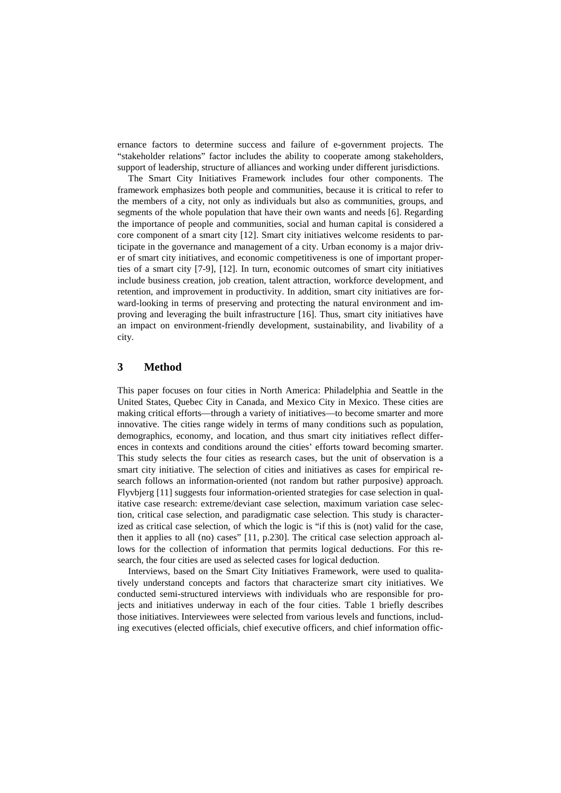ernance factors to determine success and failure of e-government projects. The "stakeholder relations" factor includes the ability to cooperate among stakeholders, support of leadership, structure of alliances and working under different jurisdictions.

The Smart City Initiatives Framework includes four other components. The framework emphasizes both people and communities, because it is critical to refer to the members of a city, not only as individuals but also as communities, groups, and segments of the whole population that have their own wants and needs [6]. Regarding the importance of people and communities, social and human capital is considered a core component of a smart city [12]. Smart city initiatives welcome residents to participate in the governance and management of a city. Urban economy is a major driver of smart city initiatives, and economic competitiveness is one of important properties of a smart city [7-9], [12]. In turn, economic outcomes of smart city initiatives include business creation, job creation, talent attraction, workforce development, and retention, and improvement in productivity. In addition, smart city initiatives are forward-looking in terms of preserving and protecting the natural environment and improving and leveraging the built infrastructure [16]. Thus, smart city initiatives have an impact on environment-friendly development, sustainability, and livability of a city.

### **3 Method**

This paper focuses on four cities in North America: Philadelphia and Seattle in the United States, Quebec City in Canada, and Mexico City in Mexico. These cities are making critical efforts—through a variety of initiatives—to become smarter and more innovative. The cities range widely in terms of many conditions such as population, demographics, economy, and location, and thus smart city initiatives reflect differences in contexts and conditions around the cities' efforts toward becoming smarter. This study selects the four cities as research cases, but the unit of observation is a smart city initiative. The selection of cities and initiatives as cases for empirical research follows an information-oriented (not random but rather purposive) approach. Flyvbjerg [11] suggests four information-oriented strategies for case selection in qualitative case research: extreme/deviant case selection, maximum variation case selection, critical case selection, and paradigmatic case selection. This study is characterized as critical case selection, of which the logic is "if this is (not) valid for the case, then it applies to all (no) cases" [11, p.230]. The critical case selection approach allows for the collection of information that permits logical deductions. For this research, the four cities are used as selected cases for logical deduction.

Interviews, based on the Smart City Initiatives Framework, were used to qualitatively understand concepts and factors that characterize smart city initiatives. We conducted semi-structured interviews with individuals who are responsible for projects and initiatives underway in each of the four cities. Table 1 briefly describes those initiatives. Interviewees were selected from various levels and functions, including executives (elected officials, chief executive officers, and chief information offic-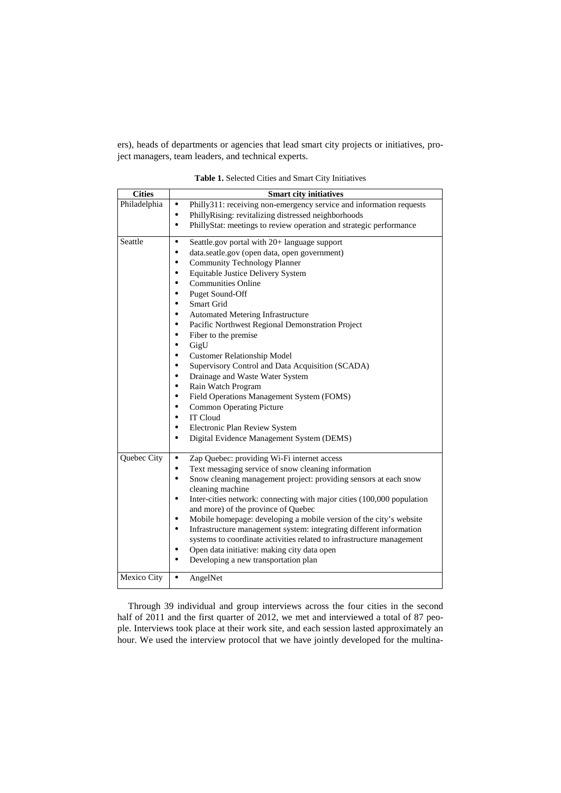ers), heads of departments or agencies that lead smart city projects or initiatives, project managers, team leaders, and technical experts.

**Table 1.** Selected Cities and Smart City Initiatives

| <b>Cities</b> | <b>Smart city initiatives</b>                                                                                                                                                                                                                                                                                                                                                                                                                                                                                                                                                                                                                                                                                                                                                                                                                                                  |
|---------------|--------------------------------------------------------------------------------------------------------------------------------------------------------------------------------------------------------------------------------------------------------------------------------------------------------------------------------------------------------------------------------------------------------------------------------------------------------------------------------------------------------------------------------------------------------------------------------------------------------------------------------------------------------------------------------------------------------------------------------------------------------------------------------------------------------------------------------------------------------------------------------|
| Philadelphia  | Philly311: receiving non-emergency service and information requests<br>$\bullet$                                                                                                                                                                                                                                                                                                                                                                                                                                                                                                                                                                                                                                                                                                                                                                                               |
|               | PhillyRising: revitalizing distressed neighborhoods<br>$\bullet$                                                                                                                                                                                                                                                                                                                                                                                                                                                                                                                                                                                                                                                                                                                                                                                                               |
|               | $\bullet$<br>PhillyStat: meetings to review operation and strategic performance                                                                                                                                                                                                                                                                                                                                                                                                                                                                                                                                                                                                                                                                                                                                                                                                |
| Seattle       | $\bullet$<br>Seattle.gov portal with 20+ language support<br>data.seatle.gov (open data, open government)<br>٠<br><b>Community Technology Planner</b><br>$\bullet$<br>Equitable Justice Delivery System<br>$\bullet$<br><b>Communities Online</b><br>٠<br>Puget Sound-Off<br>٠<br>Smart Grid<br>$\bullet$<br>$\bullet$<br>Automated Metering Infrastructure<br>Pacific Northwest Regional Demonstration Project<br>$\bullet$<br>$\bullet$<br>Fiber to the premise<br>$\bullet$<br>GigU<br>$\bullet$<br><b>Customer Relationship Model</b><br>Supervisory Control and Data Acquisition (SCADA)<br>$\bullet$<br>Drainage and Waste Water System<br>$\bullet$<br>Rain Watch Program<br>٠<br>Field Operations Management System (FOMS)<br>٠<br><b>Common Operating Picture</b><br>IT Cloud<br>٠<br>Electronic Plan Review System<br>Digital Evidence Management System (DEMS)<br>٠ |
|               |                                                                                                                                                                                                                                                                                                                                                                                                                                                                                                                                                                                                                                                                                                                                                                                                                                                                                |
| Quebec City   | Zap Quebec: providing Wi-Fi internet access<br>$\bullet$<br>Text messaging service of snow cleaning information<br>$\bullet$                                                                                                                                                                                                                                                                                                                                                                                                                                                                                                                                                                                                                                                                                                                                                   |
|               | $\bullet$<br>Snow cleaning management project: providing sensors at each snow<br>cleaning machine<br>Inter-cities network: connecting with major cities (100,000 population<br>٠<br>and more) of the province of Quebec<br>Mobile homepage: developing a mobile version of the city's website<br>$\bullet$<br>Infrastructure management system: integrating different information<br>٠<br>systems to coordinate activities related to infrastructure management<br>Open data initiative: making city data open<br>Developing a new transportation plan<br>٠                                                                                                                                                                                                                                                                                                                    |
| Mexico City   | $\bullet$<br>AngelNet                                                                                                                                                                                                                                                                                                                                                                                                                                                                                                                                                                                                                                                                                                                                                                                                                                                          |

Through 39 individual and group interviews across the four cities in the second half of 2011 and the first quarter of 2012, we met and interviewed a total of 87 people. Interviews took place at their work site, and each session lasted approximately an hour. We used the interview protocol that we have jointly developed for the multina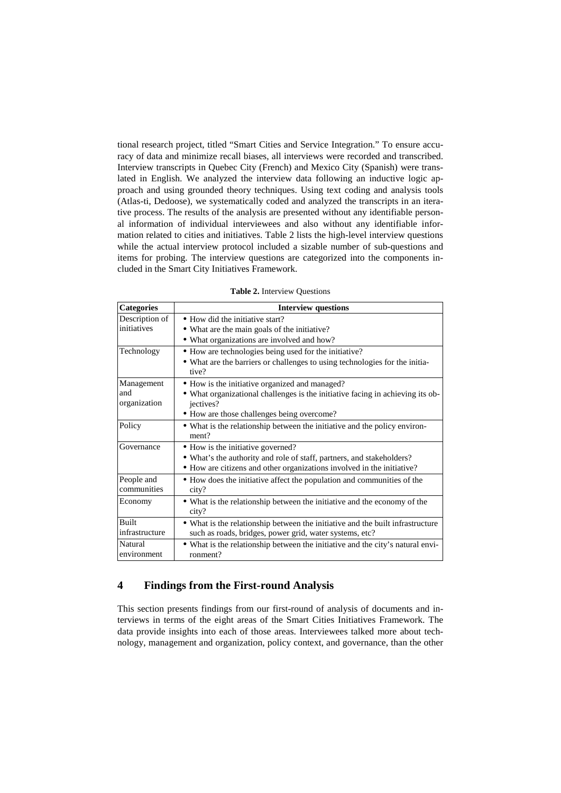tional research project, titled "Smart Cities and Service Integration." To ensure accuracy of data and minimize recall biases, all interviews were recorded and transcribed. Interview transcripts in Quebec City (French) and Mexico City (Spanish) were translated in English. We analyzed the interview data following an inductive logic approach and using grounded theory techniques. Using text coding and analysis tools (Atlas-ti, Dedoose), we systematically coded and analyzed the transcripts in an iterative process. The results of the analysis are presented without any identifiable personal information of individual interviewees and also without any identifiable information related to cities and initiatives. Table 2 lists the high-level interview questions while the actual interview protocol included a sizable number of sub-questions and items for probing. The interview questions are categorized into the components included in the Smart City Initiatives Framework.

| <b>Categories</b>         | <b>Interview questions</b>                                                                  |
|---------------------------|---------------------------------------------------------------------------------------------|
| Description of            | • How did the initiative start?                                                             |
| initiatives               | • What are the main goals of the initiative?                                                |
|                           | • What organizations are involved and how?                                                  |
| Technology                | • How are technologies being used for the initiative?                                       |
|                           | • What are the barriers or challenges to using technologies for the initia-<br>tive?        |
| Management                | • How is the initiative organized and managed?                                              |
| and<br>organization       | • What organizational challenges is the initiative facing in achieving its ob-<br>jectives? |
|                           | • How are those challenges being overcome?                                                  |
| Policy                    | • What is the relationship between the initiative and the policy environ-<br>ment?          |
| Governance                | • How is the initiative governed?                                                           |
|                           | • What's the authority and role of staff, partners, and stakeholders?                       |
|                           | • How are citizens and other organizations involved in the initiative?                      |
| People and<br>communities | • How does the initiative affect the population and communities of the<br>city?             |
| Economy                   | • What is the relationship between the initiative and the economy of the<br>city?           |
| <b>Built</b>              | • What is the relationship between the initiative and the built infrastructure              |
| infrastructure            | such as roads, bridges, power grid, water systems, etc?                                     |
| Natural<br>environment    | • What is the relationship between the initiative and the city's natural envi-<br>ronment?  |

**Table 2.** Interview Questions

## **4 Findings from the First-round Analysis**

This section presents findings from our first-round of analysis of documents and interviews in terms of the eight areas of the Smart Cities Initiatives Framework. The data provide insights into each of those areas. Interviewees talked more about technology, management and organization, policy context, and governance, than the other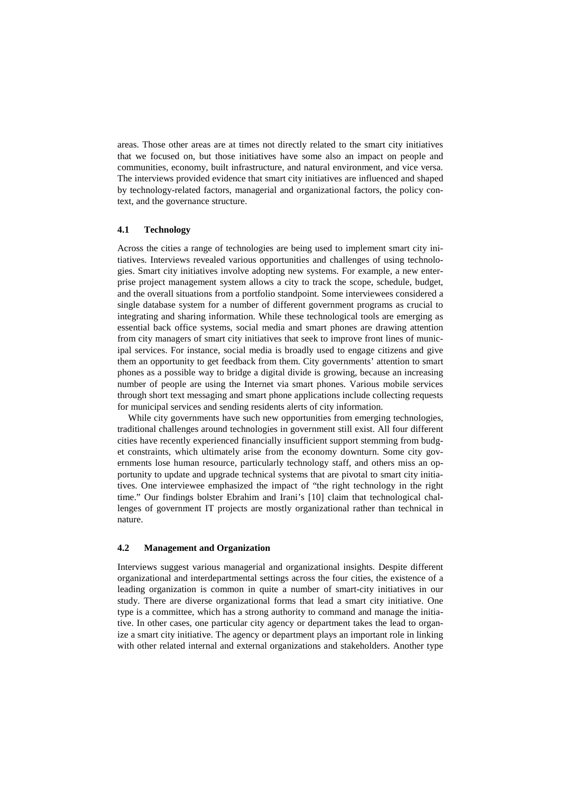areas. Those other areas are at times not directly related to the smart city initiatives that we focused on, but those initiatives have some also an impact on people and communities, economy, built infrastructure, and natural environment, and vice versa. The interviews provided evidence that smart city initiatives are influenced and shaped by technology-related factors, managerial and organizational factors, the policy context, and the governance structure.

#### **4.1 Technology**

Across the cities a range of technologies are being used to implement smart city initiatives. Interviews revealed various opportunities and challenges of using technologies. Smart city initiatives involve adopting new systems. For example, a new enterprise project management system allows a city to track the scope, schedule, budget, and the overall situations from a portfolio standpoint. Some interviewees considered a single database system for a number of different government programs as crucial to integrating and sharing information. While these technological tools are emerging as essential back office systems, social media and smart phones are drawing attention from city managers of smart city initiatives that seek to improve front lines of municipal services. For instance, social media is broadly used to engage citizens and give them an opportunity to get feedback from them. City governments' attention to smart phones as a possible way to bridge a digital divide is growing, because an increasing number of people are using the Internet via smart phones. Various mobile services through short text messaging and smart phone applications include collecting requests for municipal services and sending residents alerts of city information.

While city governments have such new opportunities from emerging technologies, traditional challenges around technologies in government still exist. All four different cities have recently experienced financially insufficient support stemming from budget constraints, which ultimately arise from the economy downturn. Some city governments lose human resource, particularly technology staff, and others miss an opportunity to update and upgrade technical systems that are pivotal to smart city initiatives. One interviewee emphasized the impact of "the right technology in the right time." Our findings bolster Ebrahim and Irani's [10] claim that technological challenges of government IT projects are mostly organizational rather than technical in nature.

### **4.2 Management and Organization**

Interviews suggest various managerial and organizational insights. Despite different organizational and interdepartmental settings across the four cities, the existence of a leading organization is common in quite a number of smart-city initiatives in our study. There are diverse organizational forms that lead a smart city initiative. One type is a committee, which has a strong authority to command and manage the initiative. In other cases, one particular city agency or department takes the lead to organize a smart city initiative. The agency or department plays an important role in linking with other related internal and external organizations and stakeholders. Another type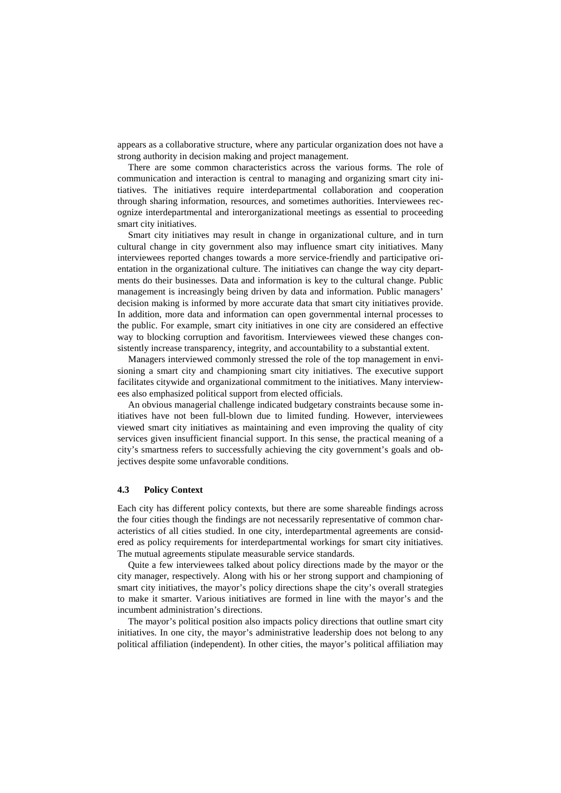appears as a collaborative structure, where any particular organization does not have a strong authority in decision making and project management.

There are some common characteristics across the various forms. The role of communication and interaction is central to managing and organizing smart city initiatives. The initiatives require interdepartmental collaboration and cooperation through sharing information, resources, and sometimes authorities. Interviewees recognize interdepartmental and interorganizational meetings as essential to proceeding smart city initiatives.

Smart city initiatives may result in change in organizational culture, and in turn cultural change in city government also may influence smart city initiatives. Many interviewees reported changes towards a more service-friendly and participative orientation in the organizational culture. The initiatives can change the way city departments do their businesses. Data and information is key to the cultural change. Public management is increasingly being driven by data and information. Public managers' decision making is informed by more accurate data that smart city initiatives provide. In addition, more data and information can open governmental internal processes to the public. For example, smart city initiatives in one city are considered an effective way to blocking corruption and favoritism. Interviewees viewed these changes consistently increase transparency, integrity, and accountability to a substantial extent.

Managers interviewed commonly stressed the role of the top management in envisioning a smart city and championing smart city initiatives. The executive support facilitates citywide and organizational commitment to the initiatives. Many interviewees also emphasized political support from elected officials.

An obvious managerial challenge indicated budgetary constraints because some initiatives have not been full-blown due to limited funding. However, interviewees viewed smart city initiatives as maintaining and even improving the quality of city services given insufficient financial support. In this sense, the practical meaning of a city's smartness refers to successfully achieving the city government's goals and objectives despite some unfavorable conditions.

### **4.3 Policy Context**

Each city has different policy contexts, but there are some shareable findings across the four cities though the findings are not necessarily representative of common characteristics of all cities studied. In one city, interdepartmental agreements are considered as policy requirements for interdepartmental workings for smart city initiatives. The mutual agreements stipulate measurable service standards.

Quite a few interviewees talked about policy directions made by the mayor or the city manager, respectively. Along with his or her strong support and championing of smart city initiatives, the mayor's policy directions shape the city's overall strategies to make it smarter. Various initiatives are formed in line with the mayor's and the incumbent administration's directions.

The mayor's political position also impacts policy directions that outline smart city initiatives. In one city, the mayor's administrative leadership does not belong to any political affiliation (independent). In other cities, the mayor's political affiliation may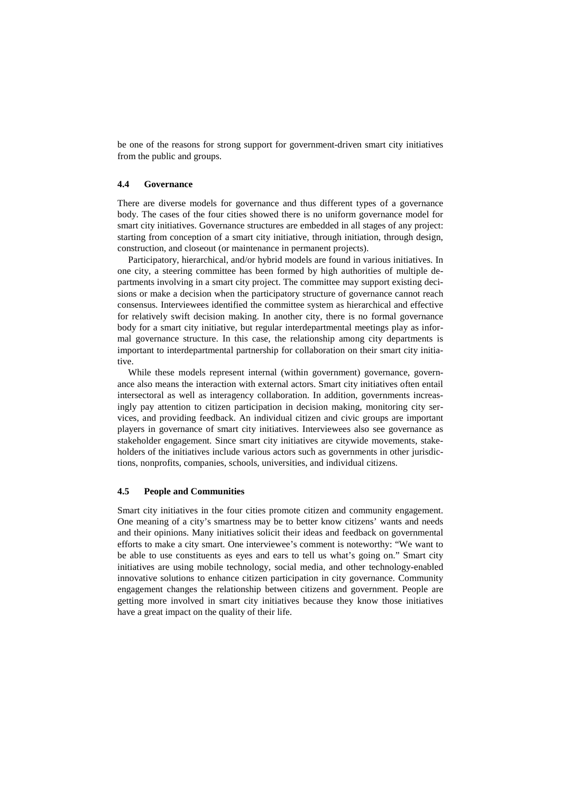be one of the reasons for strong support for government-driven smart city initiatives from the public and groups.

#### **4.4 Governance**

There are diverse models for governance and thus different types of a governance body. The cases of the four cities showed there is no uniform governance model for smart city initiatives. Governance structures are embedded in all stages of any project: starting from conception of a smart city initiative, through initiation, through design, construction, and closeout (or maintenance in permanent projects).

Participatory, hierarchical, and/or hybrid models are found in various initiatives. In one city, a steering committee has been formed by high authorities of multiple departments involving in a smart city project. The committee may support existing decisions or make a decision when the participatory structure of governance cannot reach consensus. Interviewees identified the committee system as hierarchical and effective for relatively swift decision making. In another city, there is no formal governance body for a smart city initiative, but regular interdepartmental meetings play as informal governance structure. In this case, the relationship among city departments is important to interdepartmental partnership for collaboration on their smart city initiative.

While these models represent internal (within government) governance, governance also means the interaction with external actors. Smart city initiatives often entail intersectoral as well as interagency collaboration. In addition, governments increasingly pay attention to citizen participation in decision making, monitoring city services, and providing feedback. An individual citizen and civic groups are important players in governance of smart city initiatives. Interviewees also see governance as stakeholder engagement. Since smart city initiatives are citywide movements, stakeholders of the initiatives include various actors such as governments in other jurisdictions, nonprofits, companies, schools, universities, and individual citizens.

#### **4.5 People and Communities**

Smart city initiatives in the four cities promote citizen and community engagement. One meaning of a city's smartness may be to better know citizens' wants and needs and their opinions. Many initiatives solicit their ideas and feedback on governmental efforts to make a city smart. One interviewee's comment is noteworthy: "We want to be able to use constituents as eyes and ears to tell us what's going on." Smart city initiatives are using mobile technology, social media, and other technology-enabled innovative solutions to enhance citizen participation in city governance. Community engagement changes the relationship between citizens and government. People are getting more involved in smart city initiatives because they know those initiatives have a great impact on the quality of their life.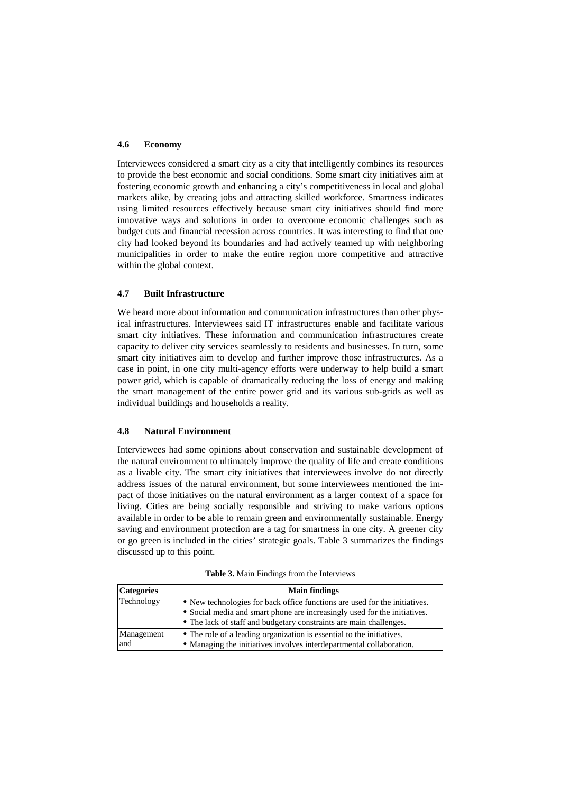#### **4.6 Economy**

Interviewees considered a smart city as a city that intelligently combines its resources to provide the best economic and social conditions. Some smart city initiatives aim at fostering economic growth and enhancing a city's competitiveness in local and global markets alike, by creating jobs and attracting skilled workforce. Smartness indicates using limited resources effectively because smart city initiatives should find more innovative ways and solutions in order to overcome economic challenges such as budget cuts and financial recession across countries. It was interesting to find that one city had looked beyond its boundaries and had actively teamed up with neighboring municipalities in order to make the entire region more competitive and attractive within the global context.

### **4.7 Built Infrastructure**

We heard more about information and communication infrastructures than other physical infrastructures. Interviewees said IT infrastructures enable and facilitate various smart city initiatives. These information and communication infrastructures create capacity to deliver city services seamlessly to residents and businesses. In turn, some smart city initiatives aim to develop and further improve those infrastructures. As a case in point, in one city multi-agency efforts were underway to help build a smart power grid, which is capable of dramatically reducing the loss of energy and making the smart management of the entire power grid and its various sub-grids as well as individual buildings and households a reality.

### **4.8 Natural Environment**

Interviewees had some opinions about conservation and sustainable development of the natural environment to ultimately improve the quality of life and create conditions as a livable city. The smart city initiatives that interviewees involve do not directly address issues of the natural environment, but some interviewees mentioned the impact of those initiatives on the natural environment as a larger context of a space for living. Cities are being socially responsible and striving to make various options available in order to be able to remain green and environmentally sustainable. Energy saving and environment protection are a tag for smartness in one city. A greener city or go green is included in the cities' strategic goals. Table 3 summarizes the findings discussed up to this point.

| <b>Categories</b> | <b>Main findings</b>                                                                                                                                                                                                          |
|-------------------|-------------------------------------------------------------------------------------------------------------------------------------------------------------------------------------------------------------------------------|
| Technology        | • New technologies for back office functions are used for the initiatives.<br>• Social media and smart phone are increasingly used for the initiatives.<br>• The lack of staff and budgetary constraints are main challenges. |
| Management<br>and | • The role of a leading organization is essential to the initiatives.<br>• Managing the initiatives involves interdepartmental collaboration.                                                                                 |

**Table 3.** Main Findings from the Interviews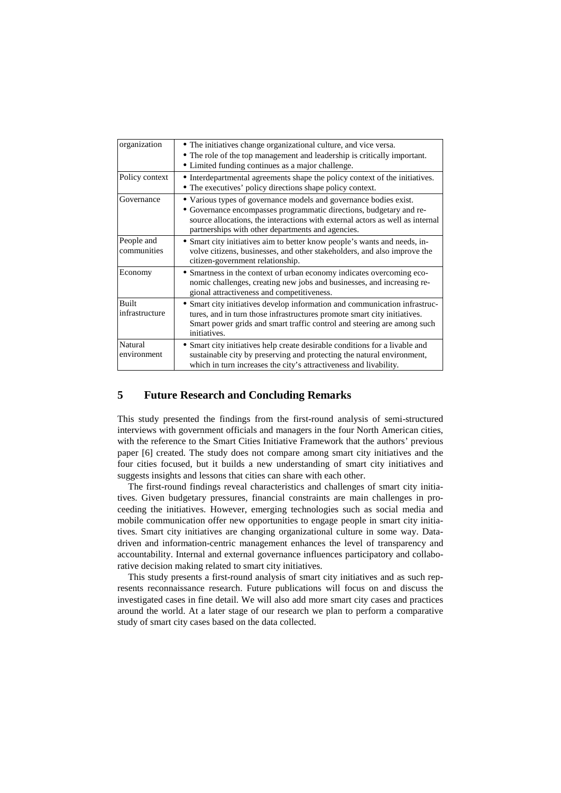| organization              | • The initiatives change organizational culture, and vice versa.<br>• The role of the top management and leadership is critically important.<br>• Limited funding continues as a major challenge.                                                                            |
|---------------------------|------------------------------------------------------------------------------------------------------------------------------------------------------------------------------------------------------------------------------------------------------------------------------|
| Policy context            | • Interdepartmental agreements shape the policy context of the initiatives.<br>• The executives' policy directions shape policy context.                                                                                                                                     |
| Governance                | • Various types of governance models and governance bodies exist.<br>Governance encompasses programmatic directions, budgetary and re-<br>source allocations, the interactions with external actors as well as internal<br>partnerships with other departments and agencies. |
| People and<br>communities | Smart city initiatives aim to better know people's wants and needs, in-<br>volve citizens, businesses, and other stakeholders, and also improve the<br>citizen-government relationship.                                                                                      |
| Economy                   | Smartness in the context of urban economy indicates overcoming eco-<br>nomic challenges, creating new jobs and businesses, and increasing re-<br>gional attractiveness and competitiveness.                                                                                  |
| Built<br>infrastructure   | • Smart city initiatives develop information and communication infrastruc-<br>tures, and in turn those infrastructures promote smart city initiatives.<br>Smart power grids and smart traffic control and steering are among such<br>initiatives.                            |
| Natural<br>environment    | Smart city initiatives help create desirable conditions for a livable and<br>sustainable city by preserving and protecting the natural environment,<br>which in turn increases the city's attractiveness and livability.                                                     |

## **5 Future Research and Concluding Remarks**

This study presented the findings from the first-round analysis of semi-structured interviews with government officials and managers in the four North American cities, with the reference to the Smart Cities Initiative Framework that the authors' previous paper [6] created. The study does not compare among smart city initiatives and the four cities focused, but it builds a new understanding of smart city initiatives and suggests insights and lessons that cities can share with each other.

The first-round findings reveal characteristics and challenges of smart city initiatives. Given budgetary pressures, financial constraints are main challenges in proceeding the initiatives. However, emerging technologies such as social media and mobile communication offer new opportunities to engage people in smart city initiatives. Smart city initiatives are changing organizational culture in some way. Datadriven and information-centric management enhances the level of transparency and accountability. Internal and external governance influences participatory and collaborative decision making related to smart city initiatives.

This study presents a first-round analysis of smart city initiatives and as such represents reconnaissance research. Future publications will focus on and discuss the investigated cases in fine detail. We will also add more smart city cases and practices around the world. At a later stage of our research we plan to perform a comparative study of smart city cases based on the data collected.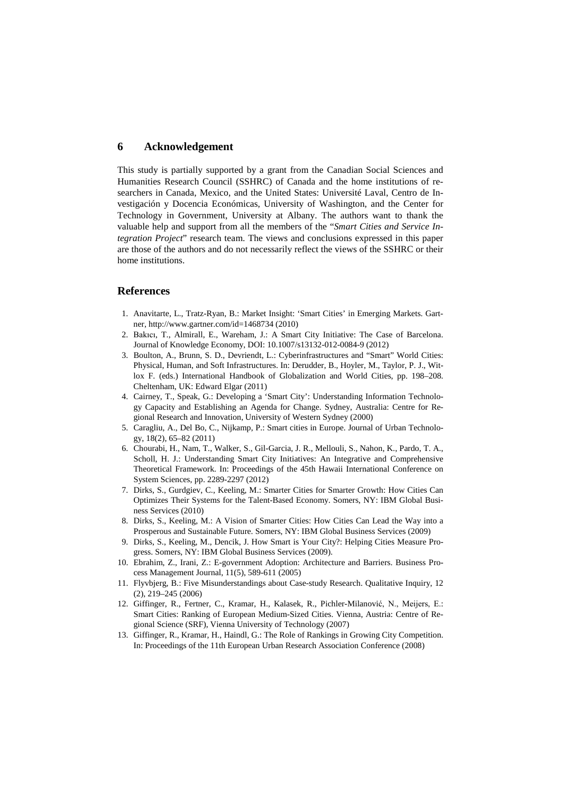## **6 Acknowledgement**

This study is partially supported by a grant from the Canadian Social Sciences and Humanities Research Council (SSHRC) of Canada and the home institutions of researchers in Canada, Mexico, and the United States: Université Laval, Centro de Investigación y Docencia Económicas, University of Washington, and the Center for Technology in Government, University at Albany. The authors want to thank the valuable help and support from all the members of the "*Smart Cities and Service Integration Project*" research team. The views and conclusions expressed in this paper are those of the authors and do not necessarily reflect the views of the SSHRC or their home institutions.

### **References**

- 1. Anavitarte, L., Tratz-Ryan, B.: Market Insight: 'Smart Cities' in Emerging Markets. Gartner, http://www.gartner.com/id=1468734 (2010)
- 2. Bakıcı, T., Almirall, E., Wareham, J.: A Smart City Initiative: The Case of Barcelona. Journal of Knowledge Economy, DOI: 10.1007/s13132-012-0084-9 (2012)
- 3. Boulton, A., Brunn, S. D., Devriendt, L.: Cyberinfrastructures and "Smart" World Cities: Physical, Human, and Soft Infrastructures. In: Derudder, B., Hoyler, M., Taylor, P. J., Witlox F. (eds.) International Handbook of Globalization and World Cities, pp. 198–208. Cheltenham, UK: Edward Elgar (2011)
- 4. Cairney, T., Speak, G.: Developing a 'Smart City': Understanding Information Technology Capacity and Establishing an Agenda for Change. Sydney, Australia: Centre for Regional Research and Innovation, University of Western Sydney (2000)
- 5. Caragliu, A., Del Bo, C., Nijkamp, P.: Smart cities in Europe. Journal of Urban Technology, 18(2), 65–82 (2011)
- 6. Chourabi, H., Nam, T., Walker, S., Gil-Garcia, J. R., Mellouli, S., Nahon, K., Pardo, T. A., Scholl, H. J.: Understanding Smart City Initiatives: An Integrative and Comprehensive Theoretical Framework. In: Proceedings of the 45th Hawaii International Conference on System Sciences, pp. 2289-2297 (2012)
- 7. Dirks, S., Gurdgiev, C., Keeling, M.: Smarter Cities for Smarter Growth: How Cities Can Optimizes Their Systems for the Talent-Based Economy. Somers, NY: IBM Global Business Services (2010)
- 8. Dirks, S., Keeling, M.: A Vision of Smarter Cities: How Cities Can Lead the Way into a Prosperous and Sustainable Future. Somers, NY: IBM Global Business Services (2009)
- 9. Dirks, S., Keeling, M., Dencik, J. How Smart is Your City?: Helping Cities Measure Progress. Somers, NY: IBM Global Business Services (2009).
- 10. Ebrahim, Z., Irani, Z.: E-government Adoption: Architecture and Barriers. Business Process Management Journal, 11(5), 589-611 (2005)
- 11. Flyvbjerg, B.: Five Misunderstandings about Case-study Research. Qualitative Inquiry, 12 (2), 219–245 (2006)
- 12. Giffinger, R., Fertner, C., Kramar, H., Kalasek, R., Pichler-Milanović, N., Meijers, E.: Smart Cities: Ranking of European Medium-Sized Cities. Vienna, Austria: Centre of Regional Science (SRF), Vienna University of Technology (2007)
- 13. Giffinger, R., Kramar, H., Haindl, G.: The Role of Rankings in Growing City Competition. In: Proceedings of the 11th European Urban Research Association Conference (2008)